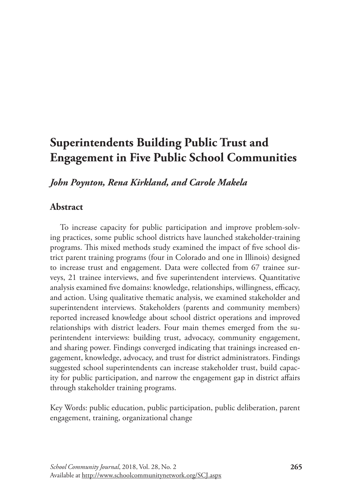# **Superintendents Building Public Trust and Engagement in Five Public School Communities**

*John Poynton, Rena Kirkland, and Carole Makela*

# **Abstract**

To increase capacity for public participation and improve problem-solving practices, some public school districts have launched stakeholder-training programs. This mixed methods study examined the impact of five school district parent training programs (four in Colorado and one in Illinois) designed to increase trust and engagement. Data were collected from 67 trainee surveys, 21 trainee interviews, and five superintendent interviews. Quantitative analysis examined five domains: knowledge, relationships, willingness, efficacy, and action. Using qualitative thematic analysis, we examined stakeholder and superintendent interviews. Stakeholders (parents and community members) reported increased knowledge about school district operations and improved relationships with district leaders. Four main themes emerged from the superintendent interviews: building trust, advocacy, community engagement, and sharing power. Findings converged indicating that trainings increased engagement, knowledge, advocacy, and trust for district administrators. Findings suggested school superintendents can increase stakeholder trust, build capacity for public participation, and narrow the engagement gap in district affairs through stakeholder training programs.

Key Words: public education, public participation, public deliberation, parent engagement, training, organizational change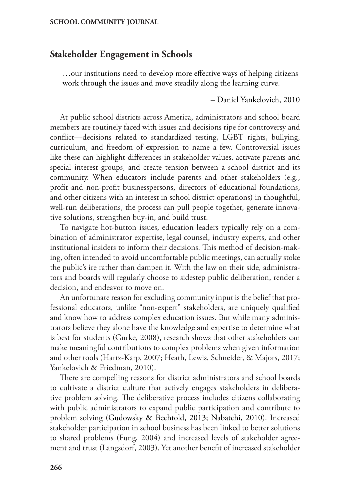# **Stakeholder Engagement in Schools**

…our institutions need to develop more effective ways of helping citizens work through the issues and move steadily along the learning curve.

– Daniel Yankelovich, 2010

At public school districts across America, administrators and school board members are routinely faced with issues and decisions ripe for controversy and conflict—decisions related to standardized testing, LGBT rights, bullying, curriculum, and freedom of expression to name a few. Controversial issues like these can highlight differences in stakeholder values, activate parents and special interest groups, and create tension between a school district and its community. When educators include parents and other stakeholders (e.g., profit and non-profit businesspersons, directors of educational foundations, and other citizens with an interest in school district operations) in thoughtful, well-run deliberations, the process can pull people together, generate innovative solutions, strengthen buy-in, and build trust.

To navigate hot-button issues, education leaders typically rely on a combination of administrator expertise, legal counsel, industry experts, and other institutional insiders to inform their decisions. This method of decision-making, often intended to avoid uncomfortable public meetings, can actually stoke the public's ire rather than dampen it. With the law on their side, administrators and boards will regularly choose to sidestep public deliberation, render a decision, and endeavor to move on.

An unfortunate reason for excluding community input is the belief that professional educators, unlike "non-expert" stakeholders, are uniquely qualified and know how to address complex education issues. But while many administrators believe they alone have the knowledge and expertise to determine what is best for students (Gurke, 2008), research shows that other stakeholders can make meaningful contributions to complex problems when given information and other tools (Hartz-Karp, 2007; Heath, Lewis, Schneider, & Majors, 2017; Yankelovich & Friedman, 2010).

There are compelling reasons for district administrators and school boards to cultivate a district culture that actively engages stakeholders in deliberative problem solving. The deliberative process includes citizens collaborating with public administrators to expand public participation and contribute to problem solving (Gudowsky & Bechtold, 2013; Nabatchi, 2010). Increased stakeholder participation in school business has been linked to better solutions to shared problems (Fung, 2004) and increased levels of stakeholder agreement and trust (Langsdorf, 2003). Yet another benefit of increased stakeholder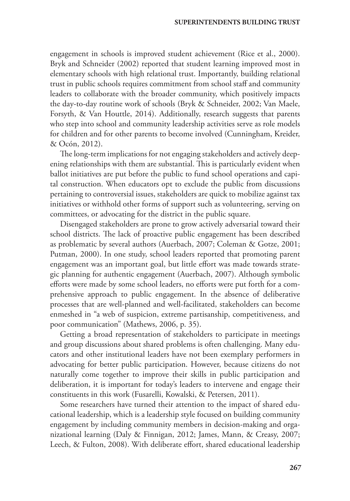engagement in schools is improved student achievement (Rice et al., 2000). Bryk and Schneider (2002) reported that student learning improved most in elementary schools with high relational trust. Importantly, building relational trust in public schools requires commitment from school staff and community leaders to collaborate with the broader community, which positively impacts the day-to-day routine work of schools (Bryk & Schneider, 2002; Van Maele, Forsyth, & Van Houttle, 2014). Additionally, research suggests that parents who step into school and community leadership activities serve as role models for children and for other parents to become involved (Cunningham, Kreider, & Ocón, 2012).

The long-term implications for not engaging stakeholders and actively deepening relationships with them are substantial. This is particularly evident when ballot initiatives are put before the public to fund school operations and capital construction. When educators opt to exclude the public from discussions pertaining to controversial issues, stakeholders are quick to mobilize against tax initiatives or withhold other forms of support such as volunteering, serving on committees, or advocating for the district in the public square.

Disengaged stakeholders are prone to grow actively adversarial toward their school districts. The lack of proactive public engagement has been described as problematic by several authors (Auerbach, 2007; Coleman & Gotze, 2001; Putman, 2000). In one study, school leaders reported that promoting parent engagement was an important goal, but little effort was made towards strategic planning for authentic engagement (Auerbach, 2007). Although symbolic efforts were made by some school leaders, no efforts were put forth for a comprehensive approach to public engagement. In the absence of deliberative processes that are well-planned and well-facilitated, stakeholders can become enmeshed in "a web of suspicion, extreme partisanship, competitiveness, and poor communication" (Mathews, 2006, p. 35).

Getting a broad representation of stakeholders to participate in meetings and group discussions about shared problems is often challenging. Many educators and other institutional leaders have not been exemplary performers in advocating for better public participation. However, because citizens do not naturally come together to improve their skills in public participation and deliberation, it is important for today's leaders to intervene and engage their constituents in this work (Fusarelli, Kowalski, & Petersen, 2011).

Some researchers have turned their attention to the impact of shared educational leadership, which is a leadership style focused on building community engagement by including community members in decision-making and organizational learning (Daly & Finnigan, 2012; James, Mann, & Creasy, 2007; Leech, & Fulton, 2008). With deliberate effort, shared educational leadership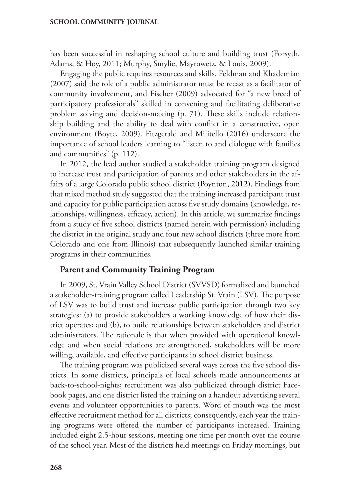has been successful in reshaping school culture and building trust (Forsyth, Adams, & Hoy, 2011; Murphy, Smylie, Mayrowetz, & Louis, 2009).

Engaging the public requires resources and skills. Feldman and Khademian (2007) said the role of a public administrator must be recast as a facilitator of community involvement, and Fischer (2009) advocated for "a new breed of participatory professionals" skilled in convening and facilitating deliberative problem solving and decision-making (p. 71). These skills include relationship building and the ability to deal with conflict in a constructive, open environment (Boyte, 2009). Fitzgerald and Militello (2016) underscore the importance of school leaders learning to "listen to and dialogue with families and communities" (p. 112).

In 2012, the lead author studied a stakeholder training program designed to increase trust and participation of parents and other stakeholders in the affairs of a large Colorado public school district (Poynton, 2012). Findings from that mixed method study suggested that the training increased participant trust and capacity for public participation across five study domains (knowledge, relationships, willingness, efficacy, action). In this article, we summarize findings from a study of five school districts (named herein with permission) including the district in the original study and four new school districts (three more from Colorado and one from Illinois) that subsequently launched similar training programs in their communities.

### **Parent and Community Training Program**

In 2009, St. Vrain Valley School District (SVVSD) formalized and launched a stakeholder-training program called Leadership St. Vrain (LSV). The purpose of LSV was to build trust and increase public participation through two key strategies: (a) to provide stakeholders a working knowledge of how their district operates; and (b), to build relationships between stakeholders and district administrators. The rationale is that when provided with operational knowledge and when social relations are strengthened, stakeholders will be more willing, available, and effective participants in school district business.

The training program was publicized several ways across the five school districts. In some districts, principals of local schools made announcements at back-to-school-nights; recruitment was also publicized through district Facebook pages, and one district listed the training on a handout advertising several events and volunteer opportunities to parents. Word of mouth was the most effective recruitment method for all districts; consequently, each year the training programs were offered the number of participants increased. Training included eight 2.5-hour sessions, meeting one time per month over the course of the school year. Most of the districts held meetings on Friday mornings, but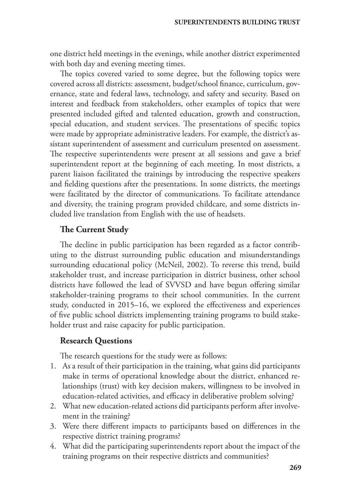one district held meetings in the evenings, while another district experimented with both day and evening meeting times.

The topics covered varied to some degree, but the following topics were covered across all districts: assessment, budget/school finance, curriculum, governance, state and federal laws, technology, and safety and security. Based on interest and feedback from stakeholders, other examples of topics that were presented included gifted and talented education, growth and construction, special education, and student services. The presentations of specific topics were made by appropriate administrative leaders. For example, the district's assistant superintendent of assessment and curriculum presented on assessment. The respective superintendents were present at all sessions and gave a brief superintendent report at the beginning of each meeting. In most districts, a parent liaison facilitated the trainings by introducing the respective speakers and fielding questions after the presentations. In some districts, the meetings were facilitated by the director of communications. To facilitate attendance and diversity, the training program provided childcare, and some districts included live translation from English with the use of headsets.

# **The Current Study**

The decline in public participation has been regarded as a factor contributing to the distrust surrounding public education and misunderstandings surrounding educational policy (McNeil, 2002). To reverse this trend, build stakeholder trust, and increase participation in district business, other school districts have followed the lead of SVVSD and have begun offering similar stakeholder-training programs to their school communities. In the current study, conducted in 2015–16, we explored the effectiveness and experiences of five public school districts implementing training programs to build stakeholder trust and raise capacity for public participation.

### **Research Questions**

The research questions for the study were as follows:

- 1. As a result of their participation in the training, what gains did participants make in terms of operational knowledge about the district, enhanced relationships (trust) with key decision makers, willingness to be involved in education-related activities, and efficacy in deliberative problem solving?
- 2. What new education-related actions did participants perform after involvement in the training?
- 3. Were there different impacts to participants based on differences in the respective district training programs?
- 4. What did the participating superintendents report about the impact of the training programs on their respective districts and communities?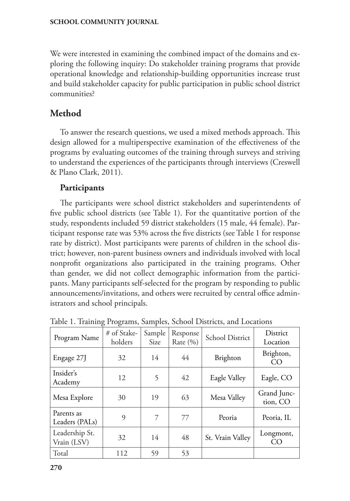We were interested in examining the combined impact of the domains and exploring the following inquiry: Do stakeholder training programs that provide operational knowledge and relationship-building opportunities increase trust and build stakeholder capacity for public participation in public school district communities?

# **Method**

To answer the research questions, we used a mixed methods approach. This design allowed for a multiperspective examination of the effectiveness of the programs by evaluating outcomes of the training through surveys and striving to understand the experiences of the participants through interviews (Creswell & Plano Clark, 2011).

# **Participants**

The participants were school district stakeholders and superintendents of five public school districts (see Table 1). For the quantitative portion of the study, respondents included 59 district stakeholders (15 male, 44 female). Participant response rate was 53% across the five districts (see Table 1 for response rate by district). Most participants were parents of children in the school district; however, non-parent business owners and individuals involved with local nonprofit organizations also participated in the training programs. Other than gender, we did not collect demographic information from the participants. Many participants self-selected for the program by responding to public announcements/invitations, and others were recruited by central office administrators and school principals.

| Program Name                  | # of Stake-<br>holders | Sample<br>Size | Response<br>Rate $(\% )$ | School District  | District<br>Location    |
|-------------------------------|------------------------|----------------|--------------------------|------------------|-------------------------|
| Engage 27J                    | 32                     | 14             | 44                       | Brighton         | Brighton,<br>CO         |
| Insider's<br>Academy          | 12                     | 5              | 42                       | Eagle Valley     | Eagle, CO               |
| Mesa Explore                  | 30                     | 19             | 63                       | Mesa Valley      | Grand Junc-<br>tion, CO |
| Parents as<br>Leaders (PALs)  | 9                      | 7              | 77                       | Peoria           | Peoria, IL              |
| Leadership St.<br>Vrain (LSV) | 32                     | 14             | 48                       | St. Vrain Valley | Longmont,<br>CO         |
| Total                         | 112                    | 59             | 53                       |                  |                         |

Table 1. Training Programs, Samples, School Districts, and Locations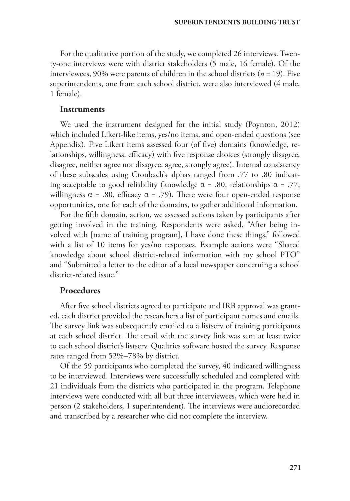For the qualitative portion of the study, we completed 26 interviews. Twenty-one interviews were with district stakeholders (5 male, 16 female). Of the interviewees,  $90\%$  were parents of children in the school districts ( $n = 19$ ). Five superintendents, one from each school district, were also interviewed (4 male, 1 female).

#### **Instruments**

We used the instrument designed for the initial study (Poynton, 2012) which included Likert-like items, yes/no items, and open-ended questions (see Appendix). Five Likert items assessed four (of five) domains (knowledge, relationships, willingness, efficacy) with five response choices (strongly disagree, disagree, neither agree nor disagree, agree, strongly agree). Internal consistency of these subscales using Cronbach's alphas ranged from .77 to .80 indicating acceptable to good reliability (knowledge  $\alpha = .80$ , relationships  $\alpha = .77$ , willingness  $\alpha$  = .80, efficacy  $\alpha$  = .79). There were four open-ended response opportunities, one for each of the domains, to gather additional information.

For the fifth domain, action, we assessed actions taken by participants after getting involved in the training. Respondents were asked, "After being involved with [name of training program], I have done these things," followed with a list of 10 items for yes/no responses. Example actions were "Shared knowledge about school district-related information with my school PTO" and "Submitted a letter to the editor of a local newspaper concerning a school district-related issue."

# **Procedures**

After five school districts agreed to participate and IRB approval was granted, each district provided the researchers a list of participant names and emails. The survey link was subsequently emailed to a listserv of training participants at each school district. The email with the survey link was sent at least twice to each school district's listserv. Qualtrics software hosted the survey. Response rates ranged from 52%–78% by district.

Of the 59 participants who completed the survey, 40 indicated willingness to be interviewed. Interviews were successfully scheduled and completed with 21 individuals from the districts who participated in the program. Telephone interviews were conducted with all but three interviewees, which were held in person (2 stakeholders, 1 superintendent). The interviews were audiorecorded and transcribed by a researcher who did not complete the interview.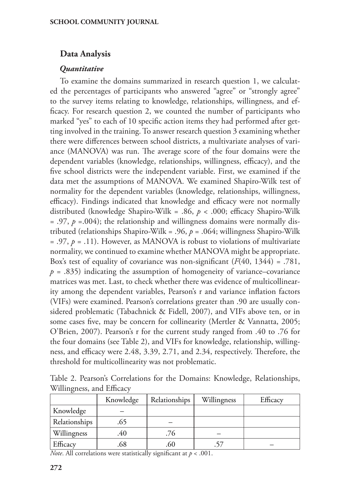# **Data Analysis**

# *Quantitative*

To examine the domains summarized in research question 1, we calculated the percentages of participants who answered "agree" or "strongly agree" to the survey items relating to knowledge, relationships, willingness, and efficacy. For research question 2, we counted the number of participants who marked "yes" to each of 10 specific action items they had performed after getting involved in the training. To answer research question 3 examining whether there were differences between school districts, a multivariate analyses of variance (MANOVA) was run. The average score of the four domains were the dependent variables (knowledge, relationships, willingness, efficacy), and the five school districts were the independent variable. First, we examined if the data met the assumptions of MANOVA. We examined Shapiro-Wilk test of normality for the dependent variables (knowledge, relationships, willingness, efficacy). Findings indicated that knowledge and efficacy were not normally distributed (knowledge Shapiro-Wilk = .86, *p* < .000; efficacy Shapiro-Wilk  $= .97, p = .004$ ; the relationship and willingness domains were normally distributed (relationships Shapiro-Wilk = .96,  $p = .064$ ; willingness Shapiro-Wilk = .97, *p* = .11). However, as MANOVA is robust to violations of multivariate normality, we continued to examine whether MANOVA might be appropriate. Box's test of equality of covariance was non-significant  $(F(40, 1344) = .781$ ,  $p = .835$ ) indicating the assumption of homogeneity of variance–covariance matrices was met. Last, to check whether there was evidence of multicollinearity among the dependent variables, Pearson's r and variance inflation factors (VIFs) were examined. Pearson's correlations greater than .90 are usually considered problematic (Tabachnick & Fidell, 2007), and VIFs above ten, or in some cases five, may be concern for collinearity (Mertler & Vannatta, 2005; O'Brien, 2007). Pearson's r for the current study ranged from .40 to .76 for the four domains (see Table 2), and VIFs for knowledge, relationship, willingness, and efficacy were 2.48, 3.39, 2.71, and 2.34, respectively. Therefore, the threshold for multicollinearity was not problematic.

Table 2. Pearson's Correlations for the Domains: Knowledge, Relationships, Willingness, and Efficacy

| Knowledge | Relationships | Willingness | Efficacy |
|-----------|---------------|-------------|----------|
|           |               |             |          |
| .65       |               |             |          |
| .40       | .76           |             |          |
| .68       | .60           |             |          |
|           |               | .<br>$\sim$ |          |

*Note*. All correlations were statistically significant at *p* < .001.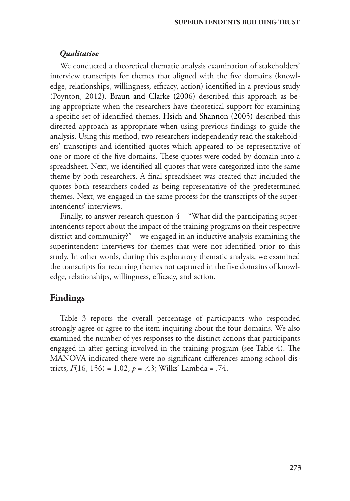# *Qualitative*

We conducted a theoretical thematic analysis examination of stakeholders' interview transcripts for themes that aligned with the five domains (knowledge, relationships, willingness, efficacy, action) identified in a previous study (Poynton, 2012). Braun and Clarke (2006) described this approach as being appropriate when the researchers have theoretical support for examining a specific set of identified themes. Hsich and Shannon (2005) described this directed approach as appropriate when using previous findings to guide the analysis. Using this method, two researchers independently read the stakeholders' transcripts and identified quotes which appeared to be representative of one or more of the five domains. These quotes were coded by domain into a spreadsheet. Next, we identified all quotes that were categorized into the same theme by both researchers. A final spreadsheet was created that included the quotes both researchers coded as being representative of the predetermined themes. Next, we engaged in the same process for the transcripts of the superintendents' interviews.

Finally, to answer research question 4—"What did the participating superintendents report about the impact of the training programs on their respective district and community?"—we engaged in an inductive analysis examining the superintendent interviews for themes that were not identified prior to this study. In other words, during this exploratory thematic analysis, we examined the transcripts for recurring themes not captured in the five domains of knowledge, relationships, willingness, efficacy, and action.

# **Findings**

Table 3 reports the overall percentage of participants who responded strongly agree or agree to the item inquiring about the four domains. We also examined the number of yes responses to the distinct actions that participants engaged in after getting involved in the training program (see Table 4). The MANOVA indicated there were no significant differences among school districts, *F*(16, 156) = 1.02, *p* = .43; Wilks' Lambda = .74.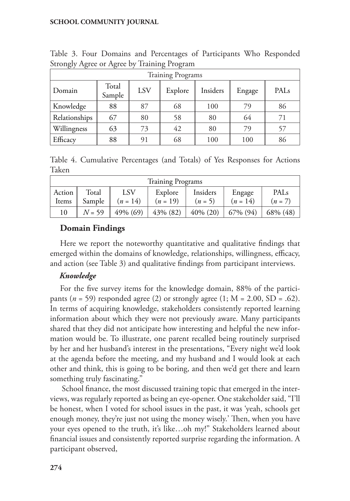| $\mathcal{O}$<br>$\epsilon$ |                 |     | $\epsilon$ |          |        |                  |
|-----------------------------|-----------------|-----|------------|----------|--------|------------------|
| <b>Training Programs</b>    |                 |     |            |          |        |                  |
| Domain                      | Total<br>Sample | LSV | Explore    | Insiders | Engage | PAL <sub>s</sub> |
| Knowledge                   | 88              | 87  | 68         | 100      | 79     | 86               |
| Relationships               | 67              | 80  | 58         | 80       | 64     | 71               |
| Willingness                 | 63              | 73  | 42         | 80       | 79     | 57               |
| Efficacy                    | 88              | 91  | 68         | 100      | 100    | 86               |

Table 3. Four Domains and Percentages of Participants Who Responded Strongly Agree or Agree by Training Program

Table 4. Cumulative Percentages (and Totals) of Yes Responses for Actions Taken

| <b>Training Programs</b> |          |            |            |             |            |                  |  |
|--------------------------|----------|------------|------------|-------------|------------|------------------|--|
| Action                   | Total    | LSV        | Explore    | Insiders    | Engage     | PAL <sub>s</sub> |  |
| Items                    | Sample   | $(n = 14)$ | $(n = 19)$ | $(n = 5)$   | $(n = 14)$ | $(n = 7)$        |  |
| 10                       | $N = 59$ | 49% (69)   | 43% (82)   | $40\%$ (20) | 67% (94)   | 68% (48)         |  |

# **Domain Findings**

Here we report the noteworthy quantitative and qualitative findings that emerged within the domains of knowledge, relationships, willingness, efficacy, and action (see Table 3) and qualitative findings from participant interviews.

# *Knowledge*

For the five survey items for the knowledge domain, 88% of the participants ( $n = 59$ ) responded agree (2) or strongly agree (1;  $M = 2.00$ ,  $SD = .62$ ). In terms of acquiring knowledge, stakeholders consistently reported learning information about which they were not previously aware. Many participants shared that they did not anticipate how interesting and helpful the new information would be. To illustrate, one parent recalled being routinely surprised by her and her husband's interest in the presentations, "Every night we'd look at the agenda before the meeting, and my husband and I would look at each other and think, this is going to be boring, and then we'd get there and learn something truly fascinating."

 School finance, the most discussed training topic that emerged in the interviews, was regularly reported as being an eye-opener. One stakeholder said, "I'll be honest, when I voted for school issues in the past, it was 'yeah, schools get enough money, they're just not using the money wisely.' Then, when you have your eyes opened to the truth, it's like…oh my!" Stakeholders learned about financial issues and consistently reported surprise regarding the information. A participant observed,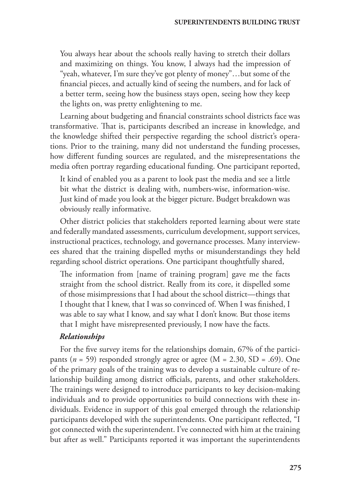You always hear about the schools really having to stretch their dollars and maximizing on things. You know, I always had the impression of "yeah, whatever, I'm sure they've got plenty of money"…but some of the financial pieces, and actually kind of seeing the numbers, and for lack of a better term, seeing how the business stays open, seeing how they keep the lights on, was pretty enlightening to me.

Learning about budgeting and financial constraints school districts face was transformative. That is, participants described an increase in knowledge, and the knowledge shifted their perspective regarding the school district's operations. Prior to the training, many did not understand the funding processes, how different funding sources are regulated, and the misrepresentations the media often portray regarding educational funding. One participant reported,

It kind of enabled you as a parent to look past the media and see a little bit what the district is dealing with, numbers-wise, information-wise. Just kind of made you look at the bigger picture. Budget breakdown was obviously really informative.

Other district policies that stakeholders reported learning about were state and federally mandated assessments, curriculum development, support services, instructional practices, technology, and governance processes. Many interviewees shared that the training dispelled myths or misunderstandings they held regarding school district operations. One participant thoughtfully shared,

The information from [name of training program] gave me the facts straight from the school district. Really from its core, it dispelled some of those misimpressions that I had about the school district—things that I thought that I knew, that I was so convinced of. When I was finished, I was able to say what I know, and say what I don't know. But those items that I might have misrepresented previously, I now have the facts.

### *Relationships*

For the five survey items for the relationships domain, 67% of the participants (*n* = 59) responded strongly agree or agree (M = 2.30, SD = .69). One of the primary goals of the training was to develop a sustainable culture of relationship building among district officials, parents, and other stakeholders. The trainings were designed to introduce participants to key decision-making individuals and to provide opportunities to build connections with these individuals. Evidence in support of this goal emerged through the relationship participants developed with the superintendents. One participant reflected, "I got connected with the superintendent. I've connected with him at the training but after as well." Participants reported it was important the superintendents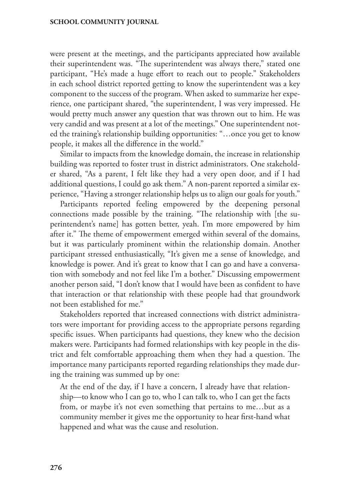were present at the meetings, and the participants appreciated how available their superintendent was. "The superintendent was always there," stated one participant, "He's made a huge effort to reach out to people." Stakeholders in each school district reported getting to know the superintendent was a key component to the success of the program. When asked to summarize her experience, one participant shared, "the superintendent, I was very impressed. He would pretty much answer any question that was thrown out to him. He was very candid and was present at a lot of the meetings." One superintendent noted the training's relationship building opportunities: "…once you get to know people, it makes all the difference in the world."

Similar to impacts from the knowledge domain, the increase in relationship building was reported to foster trust in district administrators. One stakeholder shared, "As a parent, I felt like they had a very open door, and if I had additional questions, I could go ask them." A non-parent reported a similar experience, "Having a stronger relationship helps us to align our goals for youth."

Participants reported feeling empowered by the deepening personal connections made possible by the training. "The relationship with [the superintendent's name] has gotten better, yeah. I'm more empowered by him after it." The theme of empowerment emerged within several of the domains, but it was particularly prominent within the relationship domain. Another participant stressed enthusiastically, "It's given me a sense of knowledge, and knowledge is power. And it's great to know that I can go and have a conversation with somebody and not feel like I'm a bother." Discussing empowerment another person said, "I don't know that I would have been as confident to have that interaction or that relationship with these people had that groundwork not been established for me."

Stakeholders reported that increased connections with district administrators were important for providing access to the appropriate persons regarding specific issues. When participants had questions, they knew who the decision makers were. Participants had formed relationships with key people in the district and felt comfortable approaching them when they had a question. The importance many participants reported regarding relationships they made during the training was summed up by one:

At the end of the day, if I have a concern, I already have that relationship—to know who I can go to, who I can talk to, who I can get the facts from, or maybe it's not even something that pertains to me…but as a community member it gives me the opportunity to hear first-hand what happened and what was the cause and resolution.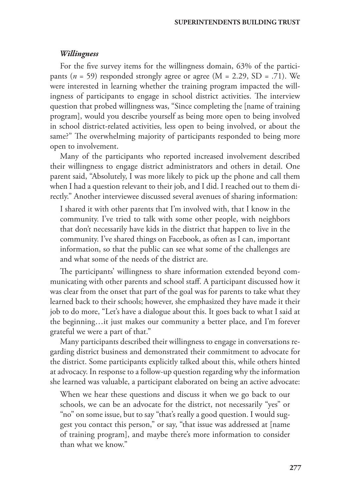#### *Willingness*

For the five survey items for the willingness domain, 63% of the participants ( $n = 59$ ) responded strongly agree or agree ( $M = 2.29$ , SD = .71). We were interested in learning whether the training program impacted the willingness of participants to engage in school district activities. The interview question that probed willingness was, "Since completing the [name of training program], would you describe yourself as being more open to being involved in school district-related activities, less open to being involved, or about the same?" The overwhelming majority of participants responded to being more open to involvement.

Many of the participants who reported increased involvement described their willingness to engage district administrators and others in detail. One parent said, "Absolutely, I was more likely to pick up the phone and call them when I had a question relevant to their job, and I did. I reached out to them directly." Another interviewee discussed several avenues of sharing information:

I shared it with other parents that I'm involved with, that I know in the community. I've tried to talk with some other people, with neighbors that don't necessarily have kids in the district that happen to live in the community. I've shared things on Facebook, as often as I can, important information, so that the public can see what some of the challenges are and what some of the needs of the district are.

The participants' willingness to share information extended beyond communicating with other parents and school staff. A participant discussed how it was clear from the onset that part of the goal was for parents to take what they learned back to their schools; however, she emphasized they have made it their job to do more, "Let's have a dialogue about this. It goes back to what I said at the beginning…it just makes our community a better place, and I'm forever grateful we were a part of that."

Many participants described their willingness to engage in conversations regarding district business and demonstrated their commitment to advocate for the district. Some participants explicitly talked about this, while others hinted at advocacy. In response to a follow-up question regarding why the information she learned was valuable, a participant elaborated on being an active advocate:

When we hear these questions and discuss it when we go back to our schools, we can be an advocate for the district, not necessarily "yes" or "no" on some issue, but to say "that's really a good question. I would suggest you contact this person," or say, "that issue was addressed at [name of training program], and maybe there's more information to consider than what we know."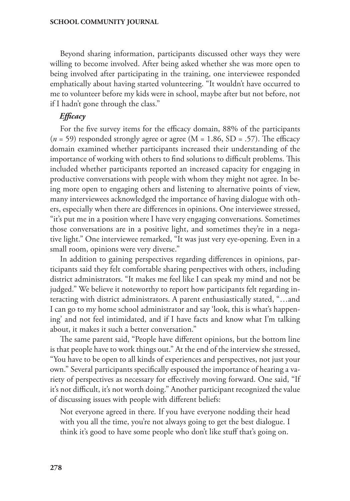Beyond sharing information, participants discussed other ways they were willing to become involved. After being asked whether she was more open to being involved after participating in the training, one interviewee responded emphatically about having started volunteering. "It wouldn't have occurred to me to volunteer before my kids were in school, maybe after but not before, not if I hadn't gone through the class."

# *Efficacy*

For the five survey items for the efficacy domain, 88% of the participants  $(n = 59)$  responded strongly agree or agree  $(M = 1.86, SD = .57)$ . The efficacy domain examined whether participants increased their understanding of the importance of working with others to find solutions to difficult problems. This included whether participants reported an increased capacity for engaging in productive conversations with people with whom they might not agree. In being more open to engaging others and listening to alternative points of view, many interviewees acknowledged the importance of having dialogue with others, especially when there are differences in opinions. One interviewee stressed, "it's put me in a position where I have very engaging conversations. Sometimes those conversations are in a positive light, and sometimes they're in a negative light." One interviewee remarked, "It was just very eye-opening. Even in a small room, opinions were very diverse."

In addition to gaining perspectives regarding differences in opinions, participants said they felt comfortable sharing perspectives with others, including district administrators. "It makes me feel like I can speak my mind and not be judged." We believe it noteworthy to report how participants felt regarding interacting with district administrators. A parent enthusiastically stated, "…and I can go to my home school administrator and say 'look, this is what's happening' and not feel intimidated, and if I have facts and know what I'm talking about, it makes it such a better conversation."

The same parent said, "People have different opinions, but the bottom line is that people have to work things out." At the end of the interview she stressed, "You have to be open to all kinds of experiences and perspectives, not just your own." Several participants specifically espoused the importance of hearing a variety of perspectives as necessary for effectively moving forward. One said, "If it's not difficult, it's not worth doing." Another participant recognized the value of discussing issues with people with different beliefs:

Not everyone agreed in there. If you have everyone nodding their head with you all the time, you're not always going to get the best dialogue. I think it's good to have some people who don't like stuff that's going on.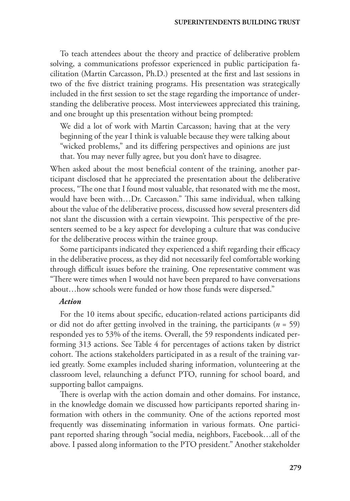To teach attendees about the theory and practice of deliberative problem solving, a communications professor experienced in public participation facilitation (Martin Carcasson, Ph.D.) presented at the first and last sessions in two of the five district training programs. His presentation was strategically included in the first session to set the stage regarding the importance of understanding the deliberative process. Most interviewees appreciated this training, and one brought up this presentation without being prompted:

We did a lot of work with Martin Carcasson; having that at the very beginning of the year I think is valuable because they were talking about "wicked problems," and its differing perspectives and opinions are just that. You may never fully agree, but you don't have to disagree.

When asked about the most beneficial content of the training, another participant disclosed that he appreciated the presentation about the deliberative process, "The one that I found most valuable, that resonated with me the most, would have been with…Dr. Carcasson." This same individual, when talking about the value of the deliberative process, discussed how several presenters did not slant the discussion with a certain viewpoint. This perspective of the presenters seemed to be a key aspect for developing a culture that was conducive for the deliberative process within the trainee group.

Some participants indicated they experienced a shift regarding their efficacy in the deliberative process, as they did not necessarily feel comfortable working through difficult issues before the training. One representative comment was "There were times when I would not have been prepared to have conversations about…how schools were funded or how those funds were dispersed."

### *Action*

For the 10 items about specific, education-related actions participants did or did not do after getting involved in the training, the participants (*n* = 59) responded yes to 53% of the items. Overall, the 59 respondents indicated performing 313 actions. See Table 4 for percentages of actions taken by district cohort. The actions stakeholders participated in as a result of the training varied greatly. Some examples included sharing information, volunteering at the classroom level, relaunching a defunct PTO, running for school board, and supporting ballot campaigns.

There is overlap with the action domain and other domains. For instance, in the knowledge domain we discussed how participants reported sharing information with others in the community. One of the actions reported most frequently was disseminating information in various formats. One participant reported sharing through "social media, neighbors, Facebook…all of the above. I passed along information to the PTO president." Another stakeholder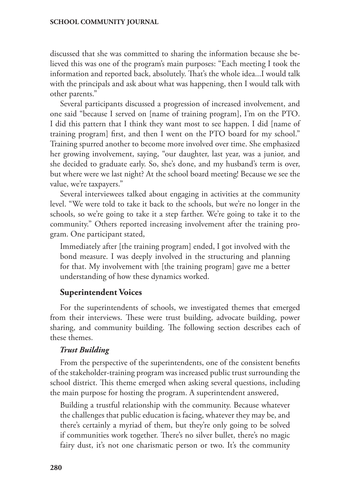discussed that she was committed to sharing the information because she believed this was one of the program's main purposes: "Each meeting I took the information and reported back, absolutely. That's the whole idea...I would talk with the principals and ask about what was happening, then I would talk with other parents."

Several participants discussed a progression of increased involvement, and one said "because I served on [name of training program], I'm on the PTO. I did this pattern that I think they want most to see happen. I did [name of training program] first, and then I went on the PTO board for my school." Training spurred another to become more involved over time. She emphasized her growing involvement, saying, "our daughter, last year, was a junior, and she decided to graduate early. So, she's done, and my husband's term is over, but where were we last night? At the school board meeting! Because we see the value, we're taxpayers."

Several interviewees talked about engaging in activities at the community level. "We were told to take it back to the schools, but we're no longer in the schools, so we're going to take it a step farther. We're going to take it to the community." Others reported increasing involvement after the training program. One participant stated,

Immediately after [the training program] ended, I got involved with the bond measure. I was deeply involved in the structuring and planning for that. My involvement with [the training program] gave me a better understanding of how these dynamics worked.

# **Superintendent Voices**

For the superintendents of schools, we investigated themes that emerged from their interviews. These were trust building, advocate building, power sharing, and community building. The following section describes each of these themes.

#### *Trust Building*

From the perspective of the superintendents, one of the consistent benefits of the stakeholder-training program was increased public trust surrounding the school district. This theme emerged when asking several questions, including the main purpose for hosting the program. A superintendent answered,

Building a trustful relationship with the community. Because whatever the challenges that public education is facing, whatever they may be, and there's certainly a myriad of them, but they're only going to be solved if communities work together. There's no silver bullet, there's no magic fairy dust, it's not one charismatic person or two. It's the community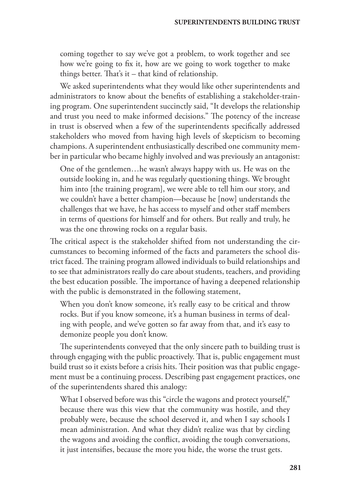coming together to say we've got a problem, to work together and see how we're going to fix it, how are we going to work together to make things better. That's it – that kind of relationship.

We asked superintendents what they would like other superintendents and administrators to know about the benefits of establishing a stakeholder-training program. One superintendent succinctly said, "It develops the relationship and trust you need to make informed decisions." The potency of the increase in trust is observed when a few of the superintendents specifically addressed stakeholders who moved from having high levels of skepticism to becoming champions. A superintendent enthusiastically described one community member in particular who became highly involved and was previously an antagonist:

One of the gentlemen…he wasn't always happy with us. He was on the outside looking in, and he was regularly questioning things. We brought him into [the training program], we were able to tell him our story, and we couldn't have a better champion—because he [now] understands the challenges that we have, he has access to myself and other staff members in terms of questions for himself and for others. But really and truly, he was the one throwing rocks on a regular basis.

The critical aspect is the stakeholder shifted from not understanding the circumstances to becoming informed of the facts and parameters the school district faced. The training program allowed individuals to build relationships and to see that administrators really do care about students, teachers, and providing the best education possible. The importance of having a deepened relationship with the public is demonstrated in the following statement,

When you don't know someone, it's really easy to be critical and throw rocks. But if you know someone, it's a human business in terms of dealing with people, and we've gotten so far away from that, and it's easy to demonize people you don't know.

The superintendents conveyed that the only sincere path to building trust is through engaging with the public proactively. That is, public engagement must build trust so it exists before a crisis hits. Their position was that public engagement must be a continuing process. Describing past engagement practices, one of the superintendents shared this analogy:

What I observed before was this "circle the wagons and protect yourself," because there was this view that the community was hostile, and they probably were, because the school deserved it, and when I say schools I mean administration. And what they didn't realize was that by circling the wagons and avoiding the conflict, avoiding the tough conversations, it just intensifies, because the more you hide, the worse the trust gets.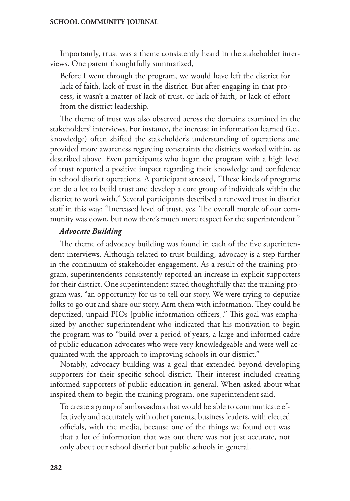Importantly, trust was a theme consistently heard in the stakeholder interviews. One parent thoughtfully summarized,

Before I went through the program, we would have left the district for lack of faith, lack of trust in the district. But after engaging in that process, it wasn't a matter of lack of trust, or lack of faith, or lack of effort from the district leadership.

The theme of trust was also observed across the domains examined in the stakeholders' interviews. For instance, the increase in information learned (i.e., knowledge) often shifted the stakeholder's understanding of operations and provided more awareness regarding constraints the districts worked within, as described above. Even participants who began the program with a high level of trust reported a positive impact regarding their knowledge and confidence in school district operations. A participant stressed, "These kinds of programs can do a lot to build trust and develop a core group of individuals within the district to work with." Several participants described a renewed trust in district staff in this way: "Increased level of trust, yes. The overall morale of our community was down, but now there's much more respect for the superintendent."

### *Advocate Building*

The theme of advocacy building was found in each of the five superintendent interviews. Although related to trust building, advocacy is a step further in the continuum of stakeholder engagement. As a result of the training program, superintendents consistently reported an increase in explicit supporters for their district. One superintendent stated thoughtfully that the training program was, "an opportunity for us to tell our story. We were trying to deputize folks to go out and share our story. Arm them with information. They could be deputized, unpaid PIOs [public information officers]." This goal was emphasized by another superintendent who indicated that his motivation to begin the program was to "build over a period of years, a large and informed cadre of public education advocates who were very knowledgeable and were well acquainted with the approach to improving schools in our district."

Notably, advocacy building was a goal that extended beyond developing supporters for their specific school district. Their interest included creating informed supporters of public education in general. When asked about what inspired them to begin the training program, one superintendent said,

To create a group of ambassadors that would be able to communicate effectively and accurately with other parents, business leaders, with elected officials, with the media, because one of the things we found out was that a lot of information that was out there was not just accurate, not only about our school district but public schools in general.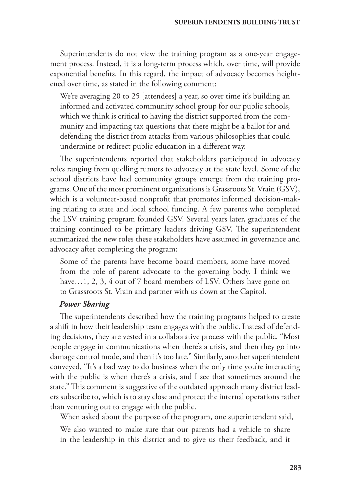Superintendents do not view the training program as a one-year engagement process. Instead, it is a long-term process which, over time, will provide exponential benefits. In this regard, the impact of advocacy becomes heightened over time, as stated in the following comment:

We're averaging 20 to 25 [attendees] a year, so over time it's building an informed and activated community school group for our public schools, which we think is critical to having the district supported from the community and impacting tax questions that there might be a ballot for and defending the district from attacks from various philosophies that could undermine or redirect public education in a different way.

The superintendents reported that stakeholders participated in advocacy roles ranging from quelling rumors to advocacy at the state level. Some of the school districts have had community groups emerge from the training programs. One of the most prominent organizations is Grassroots St. Vrain (GSV), which is a volunteer-based nonprofit that promotes informed decision-making relating to state and local school funding. A few parents who completed the LSV training program founded GSV. Several years later, graduates of the training continued to be primary leaders driving GSV. The superintendent summarized the new roles these stakeholders have assumed in governance and advocacy after completing the program:

Some of the parents have become board members, some have moved from the role of parent advocate to the governing body. I think we have...1, 2, 3, 4 out of 7 board members of LSV. Others have gone on to Grassroots St. Vrain and partner with us down at the Capitol.

#### *Power Sharing*

The superintendents described how the training programs helped to create a shift in how their leadership team engages with the public. Instead of defending decisions, they are vested in a collaborative process with the public. "Most people engage in communications when there's a crisis, and then they go into damage control mode, and then it's too late." Similarly, another superintendent conveyed, "It's a bad way to do business when the only time you're interacting with the public is when there's a crisis, and I see that sometimes around the state." This comment is suggestive of the outdated approach many district leaders subscribe to, which is to stay close and protect the internal operations rather than venturing out to engage with the public.

When asked about the purpose of the program, one superintendent said,

We also wanted to make sure that our parents had a vehicle to share in the leadership in this district and to give us their feedback, and it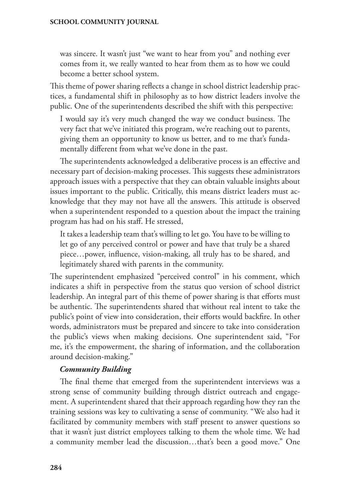was sincere. It wasn't just "we want to hear from you" and nothing ever comes from it, we really wanted to hear from them as to how we could become a better school system.

This theme of power sharing reflects a change in school district leadership practices, a fundamental shift in philosophy as to how district leaders involve the public. One of the superintendents described the shift with this perspective:

I would say it's very much changed the way we conduct business. The very fact that we've initiated this program, we're reaching out to parents, giving them an opportunity to know us better, and to me that's fundamentally different from what we've done in the past.

The superintendents acknowledged a deliberative process is an effective and necessary part of decision-making processes. This suggests these administrators approach issues with a perspective that they can obtain valuable insights about issues important to the public. Critically, this means district leaders must acknowledge that they may not have all the answers. This attitude is observed when a superintendent responded to a question about the impact the training program has had on his staff. He stressed,

It takes a leadership team that's willing to let go. You have to be willing to let go of any perceived control or power and have that truly be a shared piece…power, influence, vision-making, all truly has to be shared, and legitimately shared with parents in the community.

The superintendent emphasized "perceived control" in his comment, which indicates a shift in perspective from the status quo version of school district leadership. An integral part of this theme of power sharing is that efforts must be authentic. The superintendents shared that without real intent to take the public's point of view into consideration, their efforts would backfire. In other words, administrators must be prepared and sincere to take into consideration the public's views when making decisions. One superintendent said, "For me, it's the empowerment, the sharing of information, and the collaboration around decision-making."

### *Community Building*

The final theme that emerged from the superintendent interviews was a strong sense of community building through district outreach and engagement. A superintendent shared that their approach regarding how they ran the training sessions was key to cultivating a sense of community. "We also had it facilitated by community members with staff present to answer questions so that it wasn't just district employees talking to them the whole time. We had a community member lead the discussion…that's been a good move." One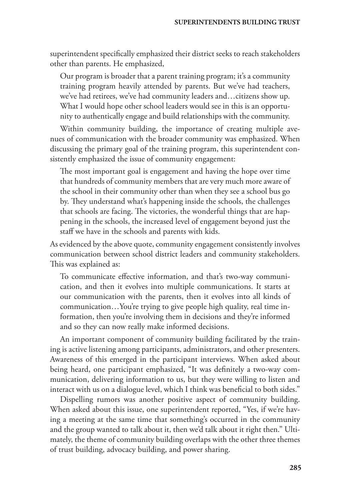superintendent specifically emphasized their district seeks to reach stakeholders other than parents. He emphasized,

Our program is broader that a parent training program; it's a community training program heavily attended by parents. But we've had teachers, we've had retirees, we've had community leaders and…citizens show up. What I would hope other school leaders would see in this is an opportunity to authentically engage and build relationships with the community.

Within community building, the importance of creating multiple avenues of communication with the broader community was emphasized. When discussing the primary goal of the training program, this superintendent consistently emphasized the issue of community engagement:

The most important goal is engagement and having the hope over time that hundreds of community members that are very much more aware of the school in their community other than when they see a school bus go by. They understand what's happening inside the schools, the challenges that schools are facing. The victories, the wonderful things that are happening in the schools, the increased level of engagement beyond just the staff we have in the schools and parents with kids.

As evidenced by the above quote, community engagement consistently involves communication between school district leaders and community stakeholders. This was explained as:

To communicate effective information, and that's two-way communication, and then it evolves into multiple communications. It starts at our communication with the parents, then it evolves into all kinds of communication…You're trying to give people high quality, real time information, then you're involving them in decisions and they're informed and so they can now really make informed decisions.

An important component of community building facilitated by the training is active listening among participants, administrators, and other presenters. Awareness of this emerged in the participant interviews. When asked about being heard, one participant emphasized, "It was definitely a two-way communication, delivering information to us, but they were willing to listen and interact with us on a dialogue level, which I think was beneficial to both sides."

Dispelling rumors was another positive aspect of community building. When asked about this issue, one superintendent reported, "Yes, if we're having a meeting at the same time that something's occurred in the community and the group wanted to talk about it, then we'd talk about it right then." Ultimately, the theme of community building overlaps with the other three themes of trust building, advocacy building, and power sharing.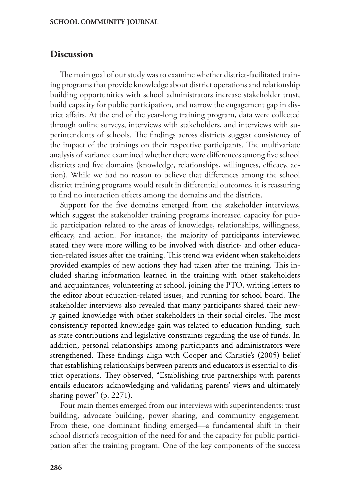# **Discussion**

The main goal of our study was to examine whether district-facilitated training programs that provide knowledge about district operations and relationship building opportunities with school administrators increase stakeholder trust, build capacity for public participation, and narrow the engagement gap in district affairs. At the end of the year-long training program, data were collected through online surveys, interviews with stakeholders, and interviews with superintendents of schools. The findings across districts suggest consistency of the impact of the trainings on their respective participants. The multivariate analysis of variance examined whether there were differences among five school districts and five domains (knowledge, relationships, willingness, efficacy, action). While we had no reason to believe that differences among the school district training programs would result in differential outcomes, it is reassuring to find no interaction effects among the domains and the districts.

Support for the five domains emerged from the stakeholder interviews, which suggest the stakeholder training programs increased capacity for public participation related to the areas of knowledge, relationships, willingness, efficacy, and action. For instance, the majority of participants interviewed stated they were more willing to be involved with district- and other education-related issues after the training. This trend was evident when stakeholders provided examples of new actions they had taken after the training. This included sharing information learned in the training with other stakeholders and acquaintances, volunteering at school, joining the PTO, writing letters to the editor about education-related issues, and running for school board. The stakeholder interviews also revealed that many participants shared their newly gained knowledge with other stakeholders in their social circles. The most consistently reported knowledge gain was related to education funding, such as state contributions and legislative constraints regarding the use of funds. In addition, personal relationships among participants and administrators were strengthened. These findings align with Cooper and Christie's (2005) belief that establishing relationships between parents and educators is essential to district operations. They observed, "Establishing true partnerships with parents entails educators acknowledging and validating parents' views and ultimately sharing power" (p. 2271).

Four main themes emerged from our interviews with superintendents: trust building, advocate building, power sharing, and community engagement. From these, one dominant finding emerged—a fundamental shift in their school district's recognition of the need for and the capacity for public participation after the training program. One of the key components of the success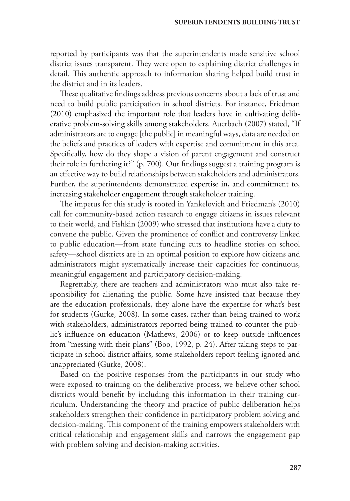reported by participants was that the superintendents made sensitive school district issues transparent. They were open to explaining district challenges in detail. This authentic approach to information sharing helped build trust in the district and in its leaders.

These qualitative findings address previous concerns about a lack of trust and need to build public participation in school districts. For instance, Friedman (2010) emphasized the important role that leaders have in cultivating deliberative problem-solving skills among stakeholders. Auerbach (2007) stated, "If administrators are to engage [the public] in meaningful ways, data are needed on the beliefs and practices of leaders with expertise and commitment in this area. Specifically, how do they shape a vision of parent engagement and construct their role in furthering it?" (p. 700). Our findings suggest a training program is an effective way to build relationships between stakeholders and administrators. Further, the superintendents demonstrated expertise in, and commitment to, increasing stakeholder engagement through stakeholder training.

The impetus for this study is rooted in Yankelovich and Friedman's (2010) call for community-based action research to engage citizens in issues relevant to their world, and Fishkin (2009) who stressed that institutions have a duty to convene the public. Given the prominence of conflict and controversy linked to public education—from state funding cuts to headline stories on school safety—school districts are in an optimal position to explore how citizens and administrators might systematically increase their capacities for continuous, meaningful engagement and participatory decision-making.

Regrettably, there are teachers and administrators who must also take responsibility for alienating the public. Some have insisted that because they are the education professionals, they alone have the expertise for what's best for students (Gurke, 2008). In some cases, rather than being trained to work with stakeholders, administrators reported being trained to counter the public's influence on education (Mathews, 2006) or to keep outside influences from "messing with their plans" (Boo, 1992, p. 24). After taking steps to participate in school district affairs, some stakeholders report feeling ignored and unappreciated (Gurke, 2008).

Based on the positive responses from the participants in our study who were exposed to training on the deliberative process, we believe other school districts would benefit by including this information in their training curriculum. Understanding the theory and practice of public deliberation helps stakeholders strengthen their confidence in participatory problem solving and decision-making. This component of the training empowers stakeholders with critical relationship and engagement skills and narrows the engagement gap with problem solving and decision-making activities.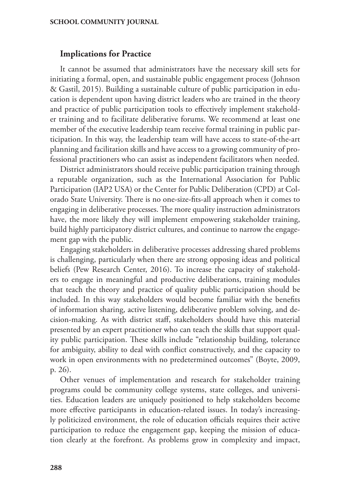# **Implications for Practice**

It cannot be assumed that administrators have the necessary skill sets for initiating a formal, open, and sustainable public engagement process (Johnson & Gastil, 2015). Building a sustainable culture of public participation in education is dependent upon having district leaders who are trained in the theory and practice of public participation tools to effectively implement stakeholder training and to facilitate deliberative forums. We recommend at least one member of the executive leadership team receive formal training in public participation. In this way, the leadership team will have access to state-of-the-art planning and facilitation skills and have access to a growing community of professional practitioners who can assist as independent facilitators when needed.

District administrators should receive public participation training through a reputable organization, such as the International Association for Public Participation (IAP2 USA) or the Center for Public Deliberation (CPD) at Colorado State University. There is no one-size-fits-all approach when it comes to engaging in deliberative processes. The more quality instruction administrators have, the more likely they will implement empowering stakeholder training, build highly participatory district cultures, and continue to narrow the engagement gap with the public.

Engaging stakeholders in deliberative processes addressing shared problems is challenging, particularly when there are strong opposing ideas and political beliefs (Pew Research Center, 2016). To increase the capacity of stakeholders to engage in meaningful and productive deliberations, training modules that teach the theory and practice of quality public participation should be included. In this way stakeholders would become familiar with the benefits of information sharing, active listening, deliberative problem solving, and decision-making. As with district staff, stakeholders should have this material presented by an expert practitioner who can teach the skills that support quality public participation. These skills include "relationship building, tolerance for ambiguity, ability to deal with conflict constructively, and the capacity to work in open environments with no predetermined outcomes" (Boyte, 2009, p. 26).

Other venues of implementation and research for stakeholder training programs could be community college systems, state colleges, and universities. Education leaders are uniquely positioned to help stakeholders become more effective participants in education-related issues. In today's increasingly politicized environment, the role of education officials requires their active participation to reduce the engagement gap, keeping the mission of education clearly at the forefront. As problems grow in complexity and impact,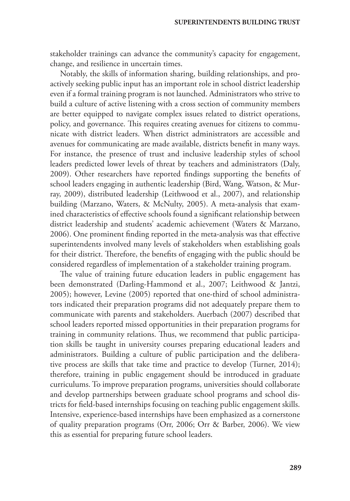stakeholder trainings can advance the community's capacity for engagement, change, and resilience in uncertain times.

Notably, the skills of information sharing, building relationships, and proactively seeking public input has an important role in school district leadership even if a formal training program is not launched. Administrators who strive to build a culture of active listening with a cross section of community members are better equipped to navigate complex issues related to district operations, policy, and governance. This requires creating avenues for citizens to communicate with district leaders. When district administrators are accessible and avenues for communicating are made available, districts benefit in many ways. For instance, the presence of trust and inclusive leadership styles of school leaders predicted lower levels of threat by teachers and administrators (Daly, 2009). Other researchers have reported findings supporting the benefits of school leaders engaging in authentic leadership (Bird, Wang, Watson, & Murray, 2009), distributed leadership (Leithwood et al., 2007), and relationship building (Marzano, Waters, & McNulty, 2005). A meta-analysis that examined characteristics of effective schools found a significant relationship between district leadership and students' academic achievement (Waters & Marzano, 2006). One prominent finding reported in the meta-analysis was that effective superintendents involved many levels of stakeholders when establishing goals for their district. Therefore, the benefits of engaging with the public should be considered regardless of implementation of a stakeholder training program.

The value of training future education leaders in public engagement has been demonstrated (Darling-Hammond et al., 2007; Leithwood & Jantzi, 2005); however, Levine (2005) reported that one-third of school administrators indicated their preparation programs did not adequately prepare them to communicate with parents and stakeholders. Auerbach (2007) described that school leaders reported missed opportunities in their preparation programs for training in community relations. Thus, we recommend that public participation skills be taught in university courses preparing educational leaders and administrators. Building a culture of public participation and the deliberative process are skills that take time and practice to develop (Turner, 2014); therefore, training in public engagement should be introduced in graduate curriculums. To improve preparation programs, universities should collaborate and develop partnerships between graduate school programs and school districts for field-based internships focusing on teaching public engagement skills. Intensive, experience-based internships have been emphasized as a cornerstone of quality preparation programs (Orr, 2006; Orr & Barber, 2006). We view this as essential for preparing future school leaders.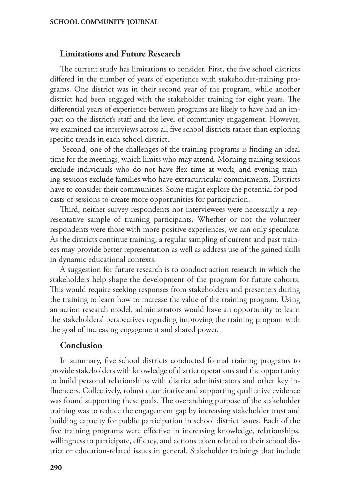# **Limitations and Future Research**

The current study has limitations to consider. First, the five school districts differed in the number of years of experience with stakeholder-training programs. One district was in their second year of the program, while another district had been engaged with the stakeholder training for eight years. The differential years of experience between programs are likely to have had an impact on the district's staff and the level of community engagement. However, we examined the interviews across all five school districts rather than exploring specific trends in each school district.

 Second, one of the challenges of the training programs is finding an ideal time for the meetings, which limits who may attend. Morning training sessions exclude individuals who do not have flex time at work, and evening training sessions exclude families who have extracurricular commitments. Districts have to consider their communities. Some might explore the potential for podcasts of sessions to create more opportunities for participation.

Third, neither survey respondents nor interviewees were necessarily a representative sample of training participants. Whether or not the volunteer respondents were those with more positive experiences, we can only speculate. As the districts continue training, a regular sampling of current and past trainees may provide better representation as well as address use of the gained skills in dynamic educational contexts.

A suggestion for future research is to conduct action research in which the stakeholders help shape the development of the program for future cohorts. This would require seeking responses from stakeholders and presenters during the training to learn how to increase the value of the training program. Using an action research model, administrators would have an opportunity to learn the stakeholders' perspectives regarding improving the training program with the goal of increasing engagement and shared power.

#### **Conclusion**

In summary, five school districts conducted formal training programs to provide stakeholders with knowledge of district operations and the opportunity to build personal relationships with district administrators and other key influencers. Collectively, robust quantitative and supporting qualitative evidence was found supporting these goals. The overarching purpose of the stakeholder training was to reduce the engagement gap by increasing stakeholder trust and building capacity for public participation in school district issues. Each of the five training programs were effective in increasing knowledge, relationships, willingness to participate, efficacy, and actions taken related to their school district or education-related issues in general. Stakeholder trainings that include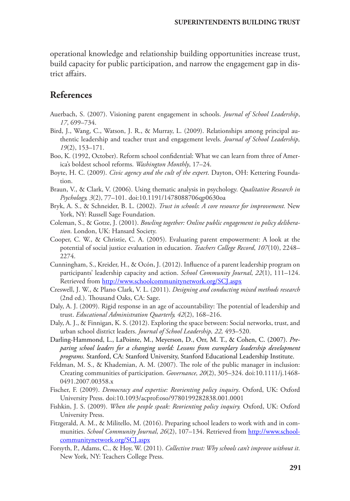operational knowledge and relationship building opportunities increase trust, build capacity for public participation, and narrow the engagement gap in district affairs.

# **References**

- Auerbach, S. (2007). Visioning parent engagement in schools. *Journal of School Leadership*, *17*, 699–734.
- Bird, J., Wang, C., Watson, J. R., & Murray, L. (2009). Relationships among principal authentic leadership and teacher trust and engagement levels. *Journal of School Leadership, 19*(2), 153–171.
- Boo, K. (1992, October). Reform school confidential: What we can learn from three of America's boldest school reforms. *Washington Monthly*, 17–24.
- Boyte, H. C. (2009). *Civic agency and the cult of the expert*. Dayton, OH: Kettering Foundation.
- Braun, V., & Clark, V. (2006). Using thematic analysis in psychology. *Qualitative Research in Psychology, 3*(2), 77–101. doi:10.1191/1478088706qp0630oa
- Bryk, A. S., & Schneider, B. L. (2002). *Trust in schools*: *A core resource for improvement.* New York, NY: Russell Sage Foundation.
- Coleman, S., & Gotze, J. (2001). *Bowling together: Online public engagement in policy deliberation*. London, UK: Hansard Society.
- Cooper, C. W., & Christie, C. A. (2005). Evaluating parent empowerment: A look at the potential of social justice evaluation in education. *Teachers College Record*, *107*(10), 2248– 2274.
- Cunningham, S., Kreider, H., & Ocón, J. (2012). Influence of a parent leadership program on participants' leadership capacity and action. *School Community Journal*, *22*(1), 111–124. Retrieved from <http://www.schoolcommunitynetwork.org/SCJ.aspx>
- Creswell, J. W., & Plano Clark, V. L. (2011). *Designing and conducting mixed methods research* (2nd ed.). Thousand Oaks, CA: Sage.
- Daly, A. J. (2009). Rigid response in an age of accountability: The potential of leadership and trust. *Educational Administration Quarterly, 42*(2), 168–216.
- Daly, A. J., & Finnigan, K. S. (2012). Exploring the space between: Social networks, trust, and urban school district leaders. *Journal of School Leadership, 22,* 493–520.
- Darling-Hammond, L., LaPointe, M., Meyerson, D., Orr, M. T., & Cohen, C. (2007). *Preparing school leaders for a changing world: Lessons from exemplary leadership development programs.* Stanford, CA: Stanford University, Stanford Educational Leadership Institute.
- Feldman, M. S., & Khademian, A. M. (2007). The role of the public manager in inclusion: Creating communities of participation. *Governance, 20*(2), 305–324. doi:10.1111/j.1468- 0491.2007.00358.x
- Fischer, F. (2009). *Democracy and expertise: Reorienting policy inquiry*. Oxford, UK: Oxford University Press. doi:10.1093/acprof:oso/9780199282838.001.0001
- Fishkin, J. S. (2009). *When the people speak: Reorienting policy inquiry.* Oxford, UK: Oxford University Press.
- Fitzgerald, A. M., & Militello, M. (2016). Preparing school leaders to work with and in communities. *School Community Journal*, *26*(2), 107–134. Retrieved from [http://www.school](http://www.schoolcommunitynetwork.org/SCJ.aspx)[communitynetwork.org/SCJ.aspx](http://www.schoolcommunitynetwork.org/SCJ.aspx)
- Forsyth, P., Adams, C., & Hoy, W. (2011). *Collective trust: Why schools can't improve without it*. New York, NY: Teachers College Press.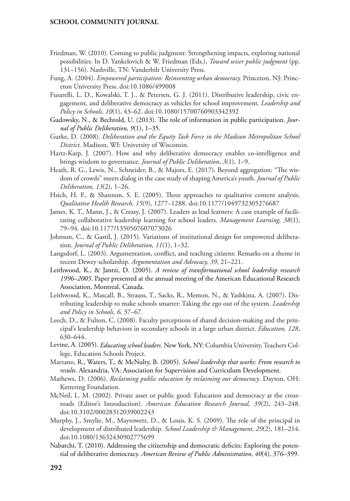- Friedman, W. (2010). Coming to public judgment: Strengthening impacts, exploring national possibilities. In D. Yankelovich & W. Friedman (Eds.), *Toward wiser public judgment* (pp. 131–156). Nashville, TN: Vanderbilt University Press.
- Fung, A. (2004). *Empowered participation: Reinventing urban democracy.* Princeton, NJ: Princeton University Press. doi:10.1086/499008
- Fusarelli, L. D., Kowalski, T. J., & Petersen, G. J. (2011). Distributive leadership, civic engagement, and deliberative democracy as vehicles for school improvement. *Leadership and Policy in Schools, 10*(1), 43–62. doi:10.1080/15700760903342392
- Gudowsky, N., & Bechtold, U. (2013). The role of information in public participation. *Journal of Public Deliberation, 9*(1), 1–35.
- Gurke, D. (2008). *Deliberation and the Equity Task Force in the Madison Metropolitan School District.* Madison, WI: University of Wisconsin.
- Hartz-Karp, J. (2007). How and why deliberative democracy enables co-intelligence and brings wisdom to governance. *Journal of Public Deliberation*, *3*(1), 1–9.
- Heath, R. G., Lewis, N., Schneider, B., & Majors, E. (2017). Beyond aggregation: "The wisdom of crowds" meets dialog in the case study of shaping America's youth. *Journal of Public Deliberation, 13*(2), 1–26.
- Hsich, H. F., & Shannon, S. E. (2005). Three approaches to qualitative content analysis. *Qualitative Health Research, 15*(9), 1277–1288. doi:10.1177/1049732305276687
- James, K. T., Mann, J., & Creasy, J. (2007). Leaders as lead learners: A case example of facilitating collaborative leadership learning for school leaders. *Management Learning, 38*(1), 79–94. doi:10.1177/1350507607073026
- Johnson, C., & Gastil, J. (2015). Variations of institutional design for empowered deliberation. *Journal of Public Deliberation, 11*(1), 1–32.
- Langsdorf, L. (2003). Argumentation, conflict, and teaching citizens: Remarks on a theme in recent Dewey scholarship. *Argumentation and Advocacy, 39*, 21–221.
- Leithwood, K., & Jantzi, D. (2005). *A review of transformational school leadership research 1996–2005*. Paper presented at the annual meeting of the American Educational Research Association, Montreal, Canada.
- Leithwood, K., Mascall, B., Strauss, T., Sacks, R., Memon, N., & Yashkina, A. (2007). Distributing leadership to make schools smarter: Taking the ego out of the system. *Leadership and Policy in Schools, 6,* 37–67.
- Leech, D., & Fulton, C. (2008). Faculty perceptions of shared decision-making and the principal's leadership behaviors in secondary schools in a large urban district. *Education, 128*, 630–644.
- Levine, A. (2005). *Educating school leaders.* New York, NY: Columbia University, Teachers College, Education Schools Project.
- Marzano, R., Waters, T., & McNulty, B. (2005). *School leadership that works: From research to results.* Alexandria, VA: Association for Supervision and Curriculum Development.
- Mathews, D. (2006). *Reclaiming public education by reclaiming our democracy*. Dayton, OH: Kettering Foundation.
- McNeil, L. M. (2002). Private asset or public good: Education and democracy at the crossroads (Editor's Introduction). *American Education Research Journal, 39*(2), 243–248. doi:10.3102/00028312039002243
- Murphy, J., Smylie, M., Mayrowetz, D., & Louis, K. S. (2009). The role of the principal in development of distributed leadership. *School Leadership & Management, 29*(2), 181–214. doi:10.1080/13632430902775699
- Nabatchi, T. (2010). Addressing the citizenship and democratic deficits: Exploring the potential of deliberative democracy. *American Review of Public Administration, 40*(4), 376–399.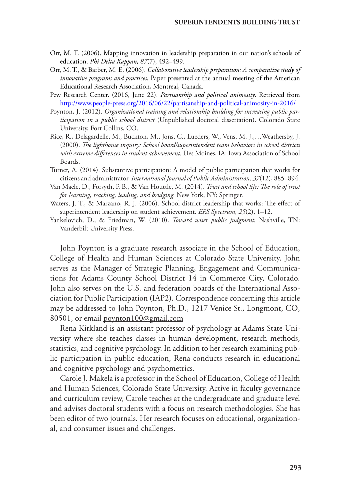- Orr, M. T. (2006). Mapping innovation in leadership preparation in our nation's schools of education. *Phi Delta Kappan, 87*(7), 492–499.
- Orr, M. T., & Barber, M. E. (2006). *Collaborative leadership preparation: A comparative study of innovative programs and practices.* Paper presented at the annual meeting of the American Educational Research Association, Montreal, Canada.
- Pew Research Center. (2016, June 22). *Partisanship and political animosity*. Retrieved from <http://www.people-press.org/2016/06/22/partisanship-and-political-animosity-in-2016/>
- Poynton, J. (2012). *Organizational training and relationship building for increasing public participation in a public school district* (Unpublished doctoral dissertation). Colorado State University, Fort Collins, CO.
- Rice, R., Delagardelle, M., Buckton, M., Jons, C., Lueders, W., Vens, M. J.,…Weathersby, J. (2000). *The lighthouse inquiry: School board/superintendent team behaviors in school districts with extreme differences in student achievement.* Des Moines, IA: Iowa Association of School Boards.
- Turner, A. (2014). Substantive participation: A model of public participation that works for citizens and administrator. *International Journal of Public Administration, 37*(12), 885–894.
- Van Maele, D., Forsyth, P. B., & Van Houttle, M. (2014). *Trust and school life: The role of trust for learning, teaching, leading, and bridging*. New York, NY: Springer.
- Waters, J. T., & Marzano, R. J. (2006). School district leadership that works: The effect of superintendent leadership on student achievement. *ERS Spectrum, 25*(2), 1–12.
- Yankelovich, D., & Friedman, W. (2010). *Toward wiser public judgment.* Nashville, TN: Vanderbilt University Press.

John Poynton is a graduate research associate in the School of Education, College of Health and Human Sciences at Colorado State University. John serves as the Manager of Strategic Planning, Engagement and Communications for Adams County School District 14 in Commerce City, Colorado. John also serves on the U.S. and federation boards of the International Association for Public Participation (IAP2). Correspondence concerning this article may be addressed to John Poynton, Ph.D., 1217 Venice St., Longmont, CO, 80501, or email [poynton100@gmail.com](mailto:poynton100%40gmail.com?subject=)

Rena Kirkland is an assistant professor of psychology at Adams State University where she teaches classes in human development, research methods, statistics, and cognitive psychology. In addition to her research examining public participation in public education, Rena conducts research in educational and cognitive psychology and psychometrics.

Carole J. Makela is a professor in the School of Education, College of Health and Human Sciences, Colorado State University. Active in faculty governance and curriculum review, Carole teaches at the undergraduate and graduate level and advises doctoral students with a focus on research methodologies. She has been editor of two journals. Her research focuses on educational, organizational, and consumer issues and challenges.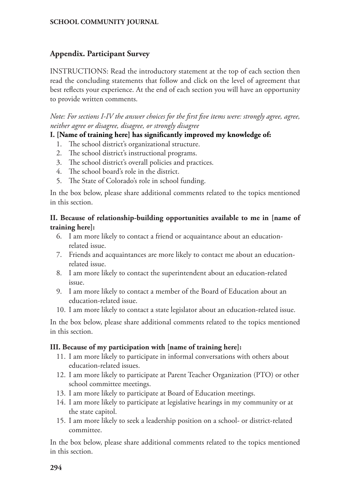# **Appendix. Participant Survey**

INSTRUCTIONS: Read the introductory statement at the top of each section then read the concluding statements that follow and click on the level of agreement that best reflects your experience. At the end of each section you will have an opportunity to provide written comments.

*Note: For sections I-IV the answer choices for the first five items were: strongly agree, agree, neither agree or disagree, disagree, or strongly disagree*

# **I. [Name of training here] has significantly improved my knowledge of:**

- 1. The school district's organizational structure.
- 2. The school district's instructional programs.
- 3. The school district's overall policies and practices.
- 4. The school board's role in the district.
- 5. The State of Colorado's role in school funding.

In the box below, please share additional comments related to the topics mentioned in this section.

# **II. Because of relationship-building opportunities available to me in [name of training here]:**

- 6. I am more likely to contact a friend or acquaintance about an educationrelated issue.
- 7. Friends and acquaintances are more likely to contact me about an educationrelated issue.
- 8. I am more likely to contact the superintendent about an education-related issue.
- 9. I am more likely to contact a member of the Board of Education about an education-related issue.
- 10. I am more likely to contact a state legislator about an education-related issue.

In the box below, please share additional comments related to the topics mentioned in this section.

### **III. Because of my participation with [name of training here]:**

- 11. I am more likely to participate in informal conversations with others about education-related issues.
- 12. I am more likely to participate at Parent Teacher Organization (PTO) or other school committee meetings.
- 13. I am more likely to participate at Board of Education meetings.
- 14. I am more likely to participate at legislative hearings in my community or at the state capitol.
- 15. I am more likely to seek a leadership position on a school- or district-related committee.

In the box below, please share additional comments related to the topics mentioned in this section.